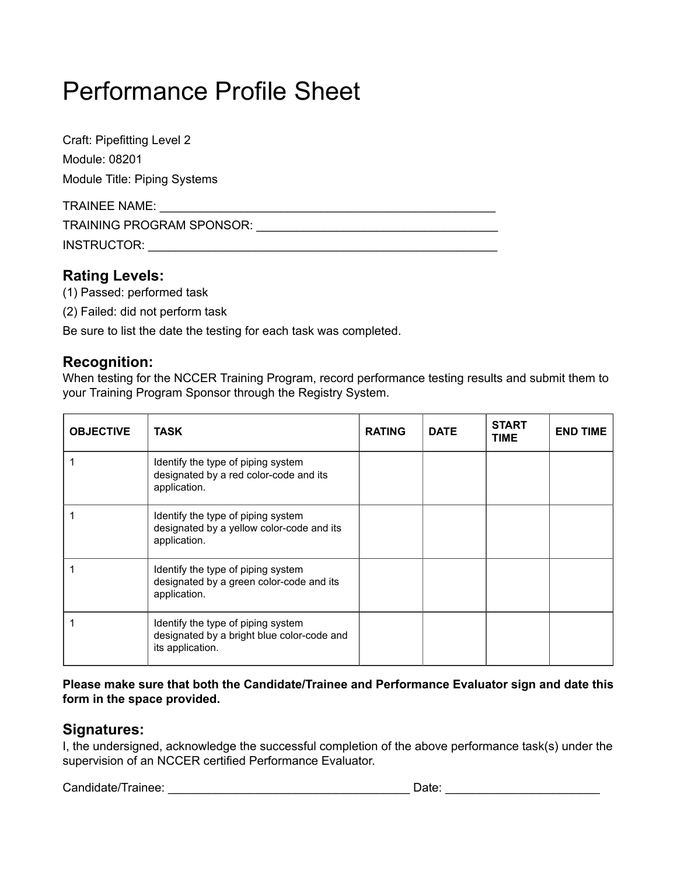Craft: Pipefitting Level 2 Module: 08201 Module Title: Piping Systems

| <b>TRAINEE NAME:</b>             |  |
|----------------------------------|--|
| <b>TRAINING PROGRAM SPONSOR:</b> |  |
| INSTRUCTOR:                      |  |

## **Rating Levels:**

- (1) Passed: performed task
- (2) Failed: did not perform task

Be sure to list the date the testing for each task was completed.

# **Recognition:**

When testing for the NCCER Training Program, record performance testing results and submit them to your Training Program Sponsor through the Registry System.

| <b>OBJECTIVE</b> | TASK                                                                                                 | <b>RATING</b> | <b>DATE</b> | <b>START</b><br><b>TIME</b> | <b>END TIME</b> |
|------------------|------------------------------------------------------------------------------------------------------|---------------|-------------|-----------------------------|-----------------|
|                  | Identify the type of piping system<br>designated by a red color-code and its<br>application.         |               |             |                             |                 |
|                  | Identify the type of piping system<br>designated by a yellow color-code and its<br>application.      |               |             |                             |                 |
|                  | Identify the type of piping system<br>designated by a green color-code and its<br>application.       |               |             |                             |                 |
|                  | Identify the type of piping system<br>designated by a bright blue color-code and<br>its application. |               |             |                             |                 |

#### **Please make sure that both the Candidate/Trainee and Performance Evaluator sign and date this form in the space provided.**

### **Signatures:**

I, the undersigned, acknowledge the successful completion of the above performance task(s) under the supervision of an NCCER certified Performance Evaluator.

Candidate/Trainee: \_\_\_\_\_\_\_\_\_\_\_\_\_\_\_\_\_\_\_\_\_\_\_\_\_\_\_\_\_\_\_\_\_\_\_\_ Date: \_\_\_\_\_\_\_\_\_\_\_\_\_\_\_\_\_\_\_\_\_\_\_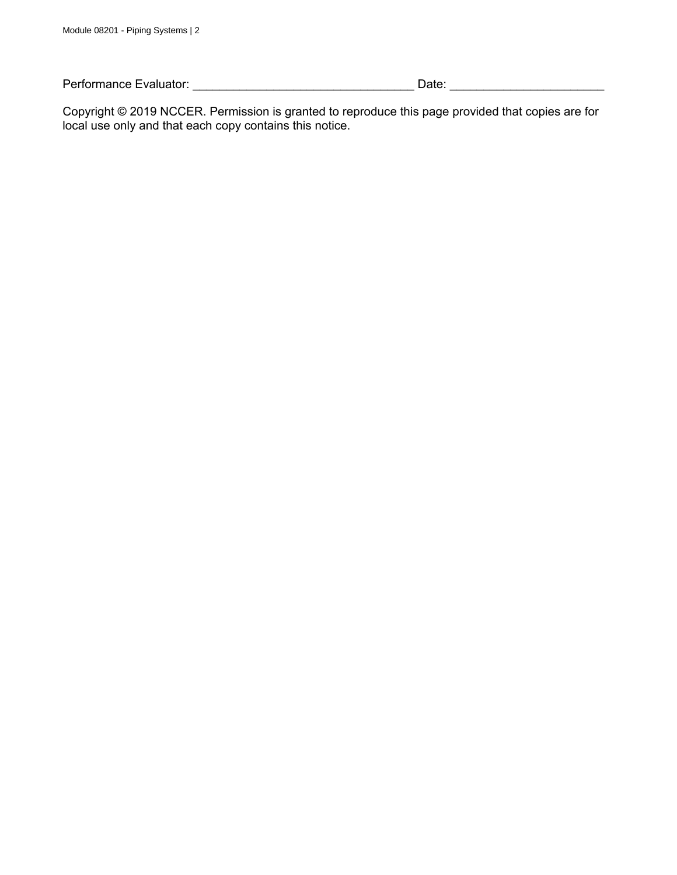Performance Evaluator: \_\_\_\_\_\_\_\_\_\_\_\_\_\_\_\_\_\_\_\_\_\_\_\_\_\_\_\_\_\_\_\_\_ Date: \_\_\_\_\_\_\_\_\_\_\_\_\_\_\_\_\_\_\_\_\_\_\_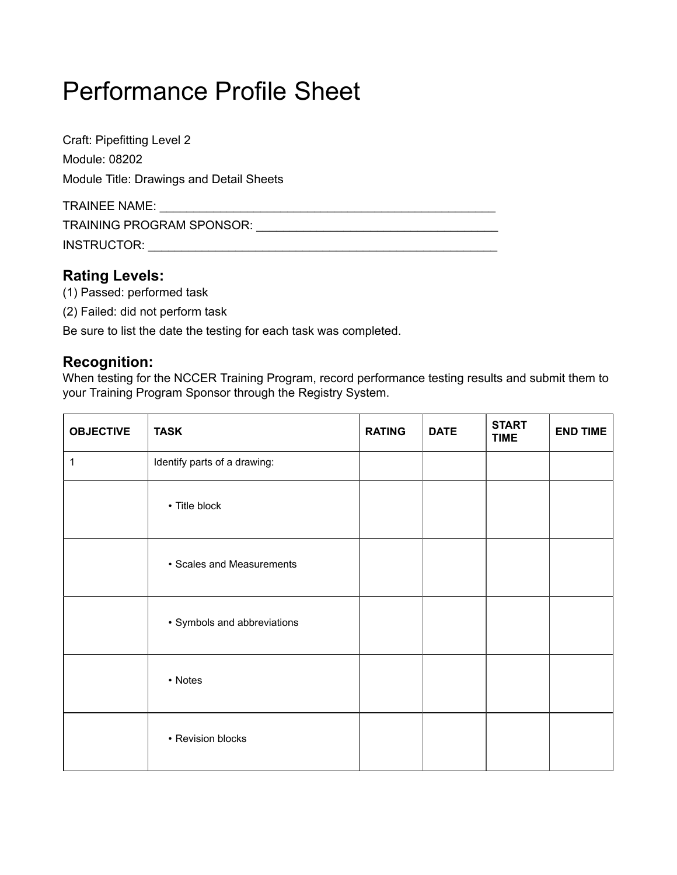Craft: Pipefitting Level 2 Module: 08202 Module Title: Drawings and Detail Sheets TRAINEE NAME: \_\_\_\_\_\_\_\_\_\_\_\_\_\_\_\_\_\_\_\_\_\_\_\_\_\_\_\_\_\_\_\_\_\_\_\_\_\_\_\_\_\_\_\_\_\_\_\_\_\_ TRAINING PROGRAM SPONSOR: \_\_\_\_\_\_\_\_\_\_\_\_\_\_\_\_\_\_\_\_\_\_\_\_\_\_\_\_\_\_\_\_\_\_\_\_

INSTRUCTOR: \_\_\_\_\_\_\_\_\_\_\_\_\_\_\_\_\_\_\_\_\_\_\_\_\_\_\_\_\_\_\_\_\_\_\_\_\_\_\_\_\_\_\_\_\_\_\_\_\_\_\_\_

### **Rating Levels:**

- (1) Passed: performed task
- (2) Failed: did not perform task

Be sure to list the date the testing for each task was completed.

### **Recognition:**

| <b>OBJECTIVE</b> | <b>TASK</b>                  | <b>RATING</b> | <b>DATE</b> | <b>START</b><br><b>TIME</b> | <b>END TIME</b> |
|------------------|------------------------------|---------------|-------------|-----------------------------|-----------------|
| 1                | Identify parts of a drawing: |               |             |                             |                 |
|                  | • Title block                |               |             |                             |                 |
|                  | • Scales and Measurements    |               |             |                             |                 |
|                  | • Symbols and abbreviations  |               |             |                             |                 |
|                  | • Notes                      |               |             |                             |                 |
|                  | • Revision blocks            |               |             |                             |                 |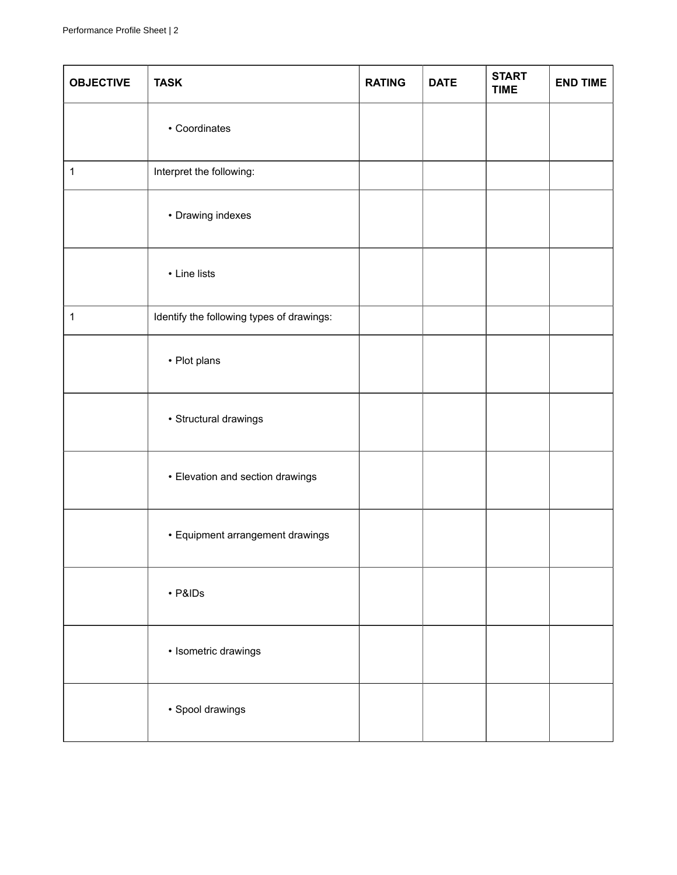| <b>OBJECTIVE</b> | <b>TASK</b>                               | <b>RATING</b> | <b>DATE</b> | <b>START</b><br><b>TIME</b> | <b>END TIME</b> |
|------------------|-------------------------------------------|---------------|-------------|-----------------------------|-----------------|
|                  | • Coordinates                             |               |             |                             |                 |
| $\mathbf{1}$     | Interpret the following:                  |               |             |                             |                 |
|                  | • Drawing indexes                         |               |             |                             |                 |
|                  | • Line lists                              |               |             |                             |                 |
| $\mathbf{1}$     | Identify the following types of drawings: |               |             |                             |                 |
|                  | • Plot plans                              |               |             |                             |                 |
|                  | · Structural drawings                     |               |             |                             |                 |
|                  | • Elevation and section drawings          |               |             |                             |                 |
|                  | • Equipment arrangement drawings          |               |             |                             |                 |
|                  | • P&IDs                                   |               |             |                             |                 |
|                  | • Isometric drawings                      |               |             |                             |                 |
|                  | · Spool drawings                          |               |             |                             |                 |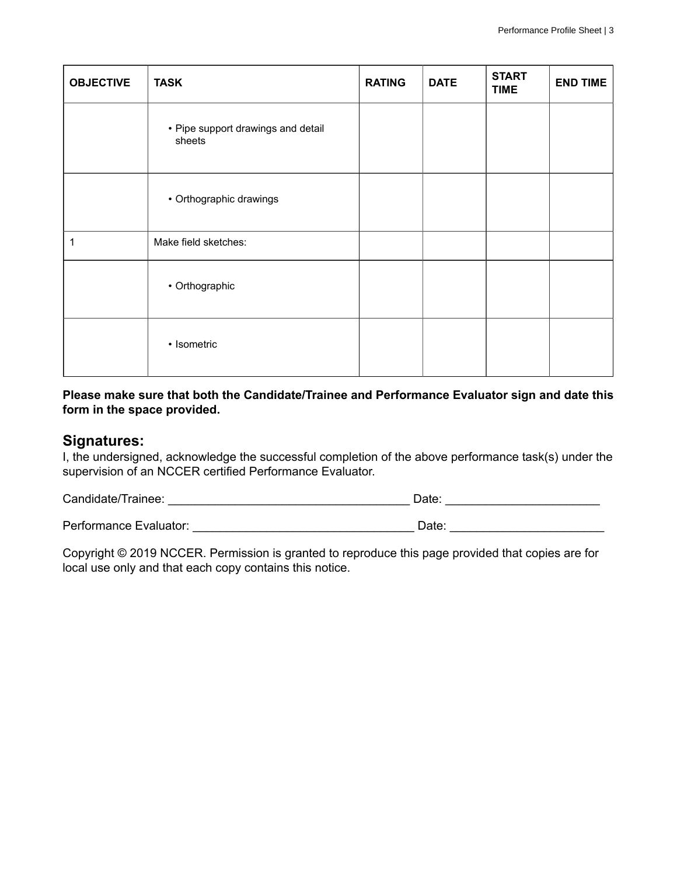| <b>OBJECTIVE</b> | <b>TASK</b>                                  | <b>RATING</b> | <b>DATE</b> | <b>START</b><br><b>TIME</b> | <b>END TIME</b> |
|------------------|----------------------------------------------|---------------|-------------|-----------------------------|-----------------|
|                  | • Pipe support drawings and detail<br>sheets |               |             |                             |                 |
|                  | • Orthographic drawings                      |               |             |                             |                 |
| 1                | Make field sketches:                         |               |             |                             |                 |
|                  | • Orthographic                               |               |             |                             |                 |
|                  | • Isometric                                  |               |             |                             |                 |

#### **Signatures:**

I, the undersigned, acknowledge the successful completion of the above performance task(s) under the supervision of an NCCER certified Performance Evaluator.

| Candidate/Trainee: | Date |  |
|--------------------|------|--|
|                    |      |  |

Performance Evaluator: \_\_\_\_\_\_\_\_\_\_\_\_\_\_\_\_\_\_\_\_\_\_\_\_\_\_\_\_\_\_\_\_\_ Date: \_\_\_\_\_\_\_\_\_\_\_\_\_\_\_\_\_\_\_\_\_\_\_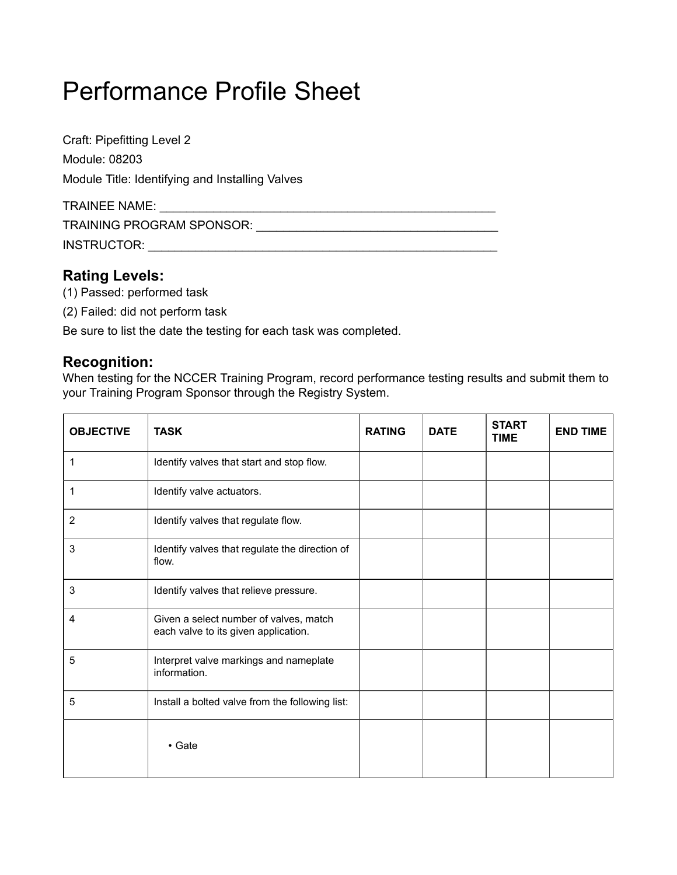Craft: Pipefitting Level 2 Module: 08203 Module Title: Identifying and Installing Valves

| <b>TRAINEE NAME:</b>             |  |
|----------------------------------|--|
| <b>TRAINING PROGRAM SPONSOR:</b> |  |
| INSTRUCTOR:                      |  |

## **Rating Levels:**

- (1) Passed: performed task
- (2) Failed: did not perform task

Be sure to list the date the testing for each task was completed.

## **Recognition:**

| <b>OBJECTIVE</b> | <b>TASK</b>                                                                    | <b>RATING</b> | <b>DATE</b> | <b>START</b><br><b>TIME</b> | <b>END TIME</b> |
|------------------|--------------------------------------------------------------------------------|---------------|-------------|-----------------------------|-----------------|
| 1                | Identify valves that start and stop flow.                                      |               |             |                             |                 |
| 1                | Identify valve actuators.                                                      |               |             |                             |                 |
| 2                | Identify valves that regulate flow.                                            |               |             |                             |                 |
| 3                | Identify valves that regulate the direction of<br>flow.                        |               |             |                             |                 |
| 3                | Identify valves that relieve pressure.                                         |               |             |                             |                 |
| 4                | Given a select number of valves, match<br>each valve to its given application. |               |             |                             |                 |
| 5                | Interpret valve markings and nameplate<br>information.                         |               |             |                             |                 |
| 5                | Install a bolted valve from the following list:                                |               |             |                             |                 |
|                  | $\cdot$ Gate                                                                   |               |             |                             |                 |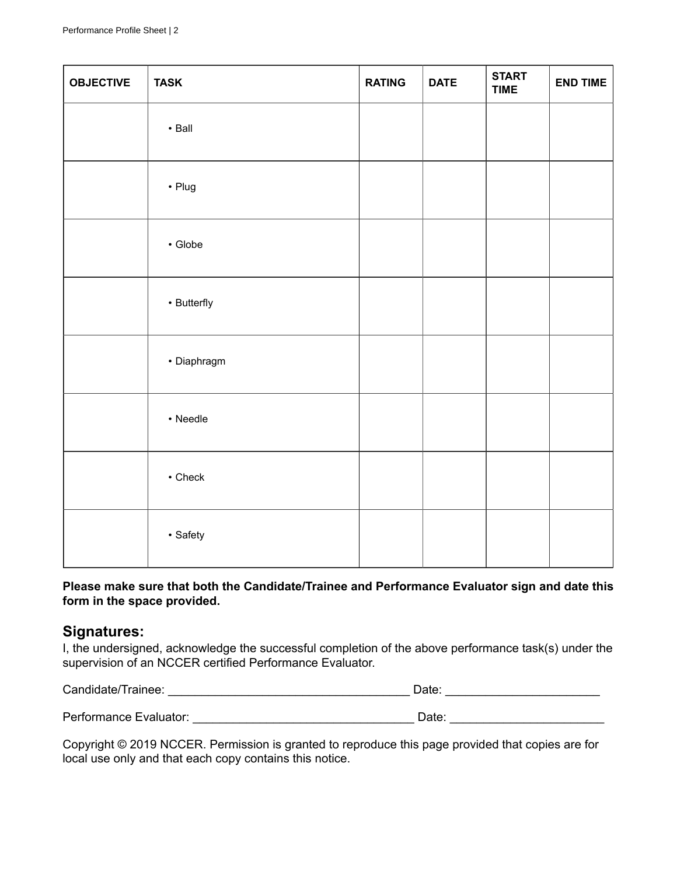| <b>OBJECTIVE</b> | <b>TASK</b>         | <b>RATING</b> | <b>DATE</b> | <b>START</b><br><b>TIME</b> | <b>END TIME</b> |
|------------------|---------------------|---------------|-------------|-----------------------------|-----------------|
|                  | $\cdot$ Ball        |               |             |                             |                 |
|                  | $\cdot$ Plug        |               |             |                             |                 |
|                  | $\cdot$ Globe       |               |             |                             |                 |
|                  | $\bullet$ Butterfly |               |             |                             |                 |
|                  | • Diaphragm         |               |             |                             |                 |
|                  | • Needle            |               |             |                             |                 |
|                  | $\cdot$ Check       |               |             |                             |                 |
|                  | $\cdot$ Safety      |               |             |                             |                 |

#### **Signatures:**

I, the undersigned, acknowledge the successful completion of the above performance task(s) under the supervision of an NCCER certified Performance Evaluator.

| Candidate/Trainee:     | Date: |
|------------------------|-------|
| Performance Evaluator: | Date: |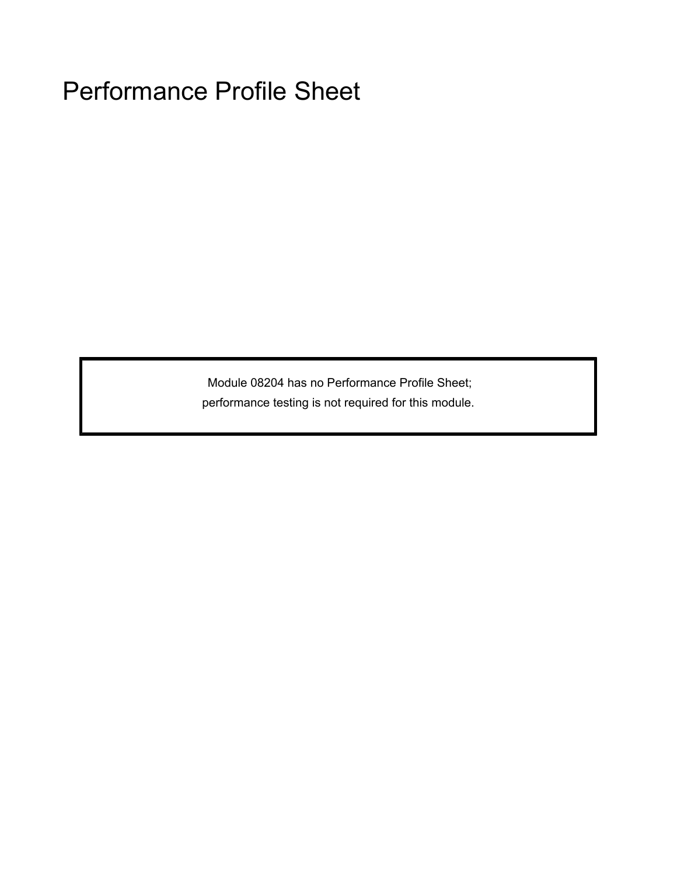Module 08204 has no Performance Profile Sheet; performance testing is not required for this module.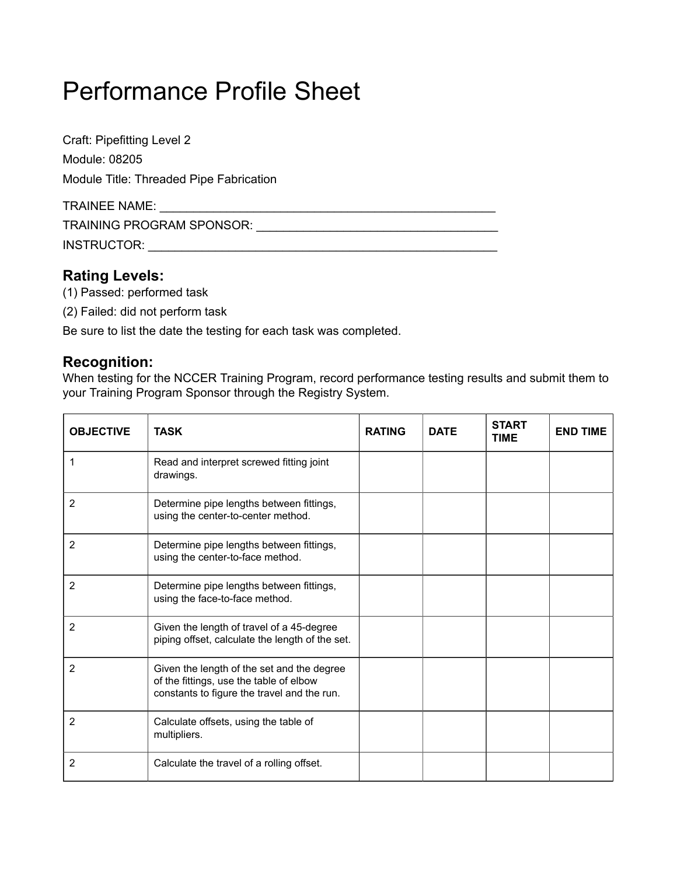Craft: Pipefitting Level 2 Module: 08205 Module Title: Threaded Pipe Fabrication

| <b>TRAINEE NAME:</b>             |  |
|----------------------------------|--|
| <b>TRAINING PROGRAM SPONSOR:</b> |  |
| INSTRUCTOR:                      |  |

## **Rating Levels:**

- (1) Passed: performed task
- (2) Failed: did not perform task

Be sure to list the date the testing for each task was completed.

## **Recognition:**

| <b>OBJECTIVE</b> | <b>TASK</b>                                                                                                                          | <b>RATING</b> | <b>DATE</b> | <b>START</b><br><b>TIME</b> | <b>END TIME</b> |
|------------------|--------------------------------------------------------------------------------------------------------------------------------------|---------------|-------------|-----------------------------|-----------------|
|                  | Read and interpret screwed fitting joint<br>drawings.                                                                                |               |             |                             |                 |
| 2                | Determine pipe lengths between fittings,<br>using the center-to-center method.                                                       |               |             |                             |                 |
| 2                | Determine pipe lengths between fittings,<br>using the center-to-face method.                                                         |               |             |                             |                 |
| 2                | Determine pipe lengths between fittings,<br>using the face-to-face method.                                                           |               |             |                             |                 |
| 2                | Given the length of travel of a 45-degree<br>piping offset, calculate the length of the set.                                         |               |             |                             |                 |
| 2                | Given the length of the set and the degree<br>of the fittings, use the table of elbow<br>constants to figure the travel and the run. |               |             |                             |                 |
| 2                | Calculate offsets, using the table of<br>multipliers.                                                                                |               |             |                             |                 |
| 2                | Calculate the travel of a rolling offset.                                                                                            |               |             |                             |                 |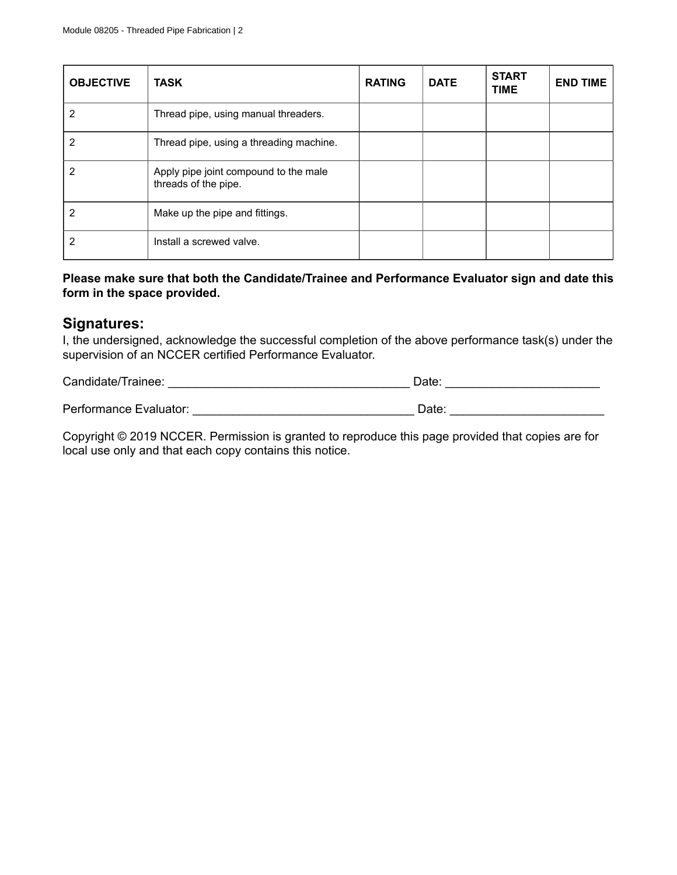| <b>OBJECTIVE</b> | <b>TASK</b>                                                   | <b>RATING</b> | <b>DATE</b> | <b>START</b><br><b>TIME</b> | <b>END TIME</b> |
|------------------|---------------------------------------------------------------|---------------|-------------|-----------------------------|-----------------|
|                  | Thread pipe, using manual threaders.                          |               |             |                             |                 |
| 2                | Thread pipe, using a threading machine.                       |               |             |                             |                 |
| 2                | Apply pipe joint compound to the male<br>threads of the pipe. |               |             |                             |                 |
|                  | Make up the pipe and fittings.                                |               |             |                             |                 |
| 2                | Install a screwed valve.                                      |               |             |                             |                 |

### **Signatures:**

I, the undersigned, acknowledge the successful completion of the above performance task(s) under the supervision of an NCCER certified Performance Evaluator.

| Candidate/Trainee:     | Date: |
|------------------------|-------|
| Performance Evaluator: | Date: |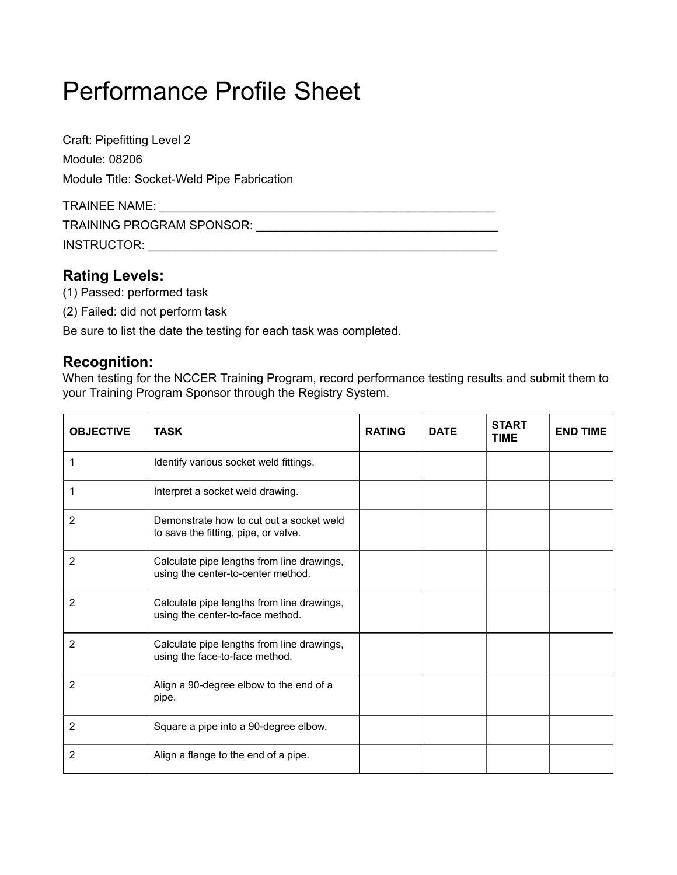Craft: Pipefitting Level 2 Module: 08206 Module Title: Socket-Weld Pipe Fabrication

| <b>TRAINEE NAME:</b>             |  |
|----------------------------------|--|
| <b>TRAINING PROGRAM SPONSOR:</b> |  |
| INSTRUCTOR:                      |  |

## **Rating Levels:**

- (1) Passed: performed task
- (2) Failed: did not perform task

Be sure to list the date the testing for each task was completed.

## **Recognition:**

| <b>OBJECTIVE</b> | <b>TASK</b>                                                                      | <b>RATING</b> | <b>DATE</b> | <b>START</b><br><b>TIME</b> | <b>END TIME</b> |
|------------------|----------------------------------------------------------------------------------|---------------|-------------|-----------------------------|-----------------|
|                  | Identify various socket weld fittings.                                           |               |             |                             |                 |
|                  | Interpret a socket weld drawing.                                                 |               |             |                             |                 |
| 2                | Demonstrate how to cut out a socket weld<br>to save the fitting, pipe, or valve. |               |             |                             |                 |
| 2                | Calculate pipe lengths from line drawings,<br>using the center-to-center method. |               |             |                             |                 |
| $\overline{2}$   | Calculate pipe lengths from line drawings,<br>using the center-to-face method.   |               |             |                             |                 |
| 2                | Calculate pipe lengths from line drawings,<br>using the face-to-face method.     |               |             |                             |                 |
| 2                | Align a 90-degree elbow to the end of a<br>pipe.                                 |               |             |                             |                 |
| $\overline{2}$   | Square a pipe into a 90-degree elbow.                                            |               |             |                             |                 |
| 2                | Align a flange to the end of a pipe.                                             |               |             |                             |                 |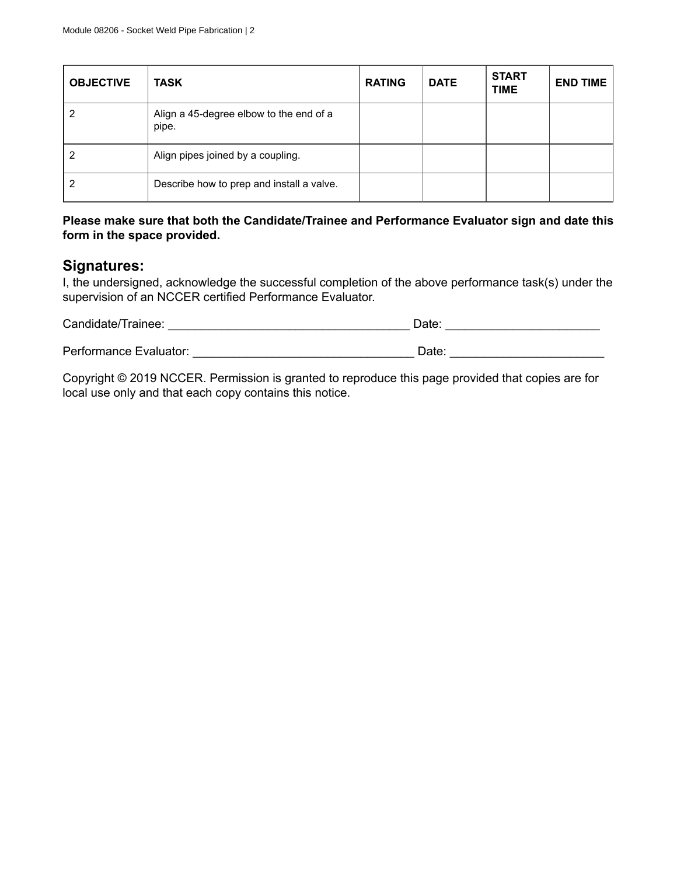| <b>OBJECTIVE</b> | TASK                                             | <b>RATING</b> | <b>DATE</b> | <b>START</b><br><b>TIME</b> | <b>END TIME</b> |
|------------------|--------------------------------------------------|---------------|-------------|-----------------------------|-----------------|
|                  | Align a 45-degree elbow to the end of a<br>pipe. |               |             |                             |                 |
|                  | Align pipes joined by a coupling.                |               |             |                             |                 |
|                  | Describe how to prep and install a valve.        |               |             |                             |                 |

### **Signatures:**

I, the undersigned, acknowledge the successful completion of the above performance task(s) under the supervision of an NCCER certified Performance Evaluator.

Candidate/Trainee: \_\_\_\_\_\_\_\_\_\_\_\_\_\_\_\_\_\_\_\_\_\_\_\_\_\_\_\_\_\_\_\_\_\_\_\_ Date: \_\_\_\_\_\_\_\_\_\_\_\_\_\_\_\_\_\_\_\_\_\_\_

Performance Evaluator: \_\_\_\_\_\_\_\_\_\_\_\_\_\_\_\_\_\_\_\_\_\_\_\_\_\_\_\_\_\_\_\_\_ Date: \_\_\_\_\_\_\_\_\_\_\_\_\_\_\_\_\_\_\_\_\_\_\_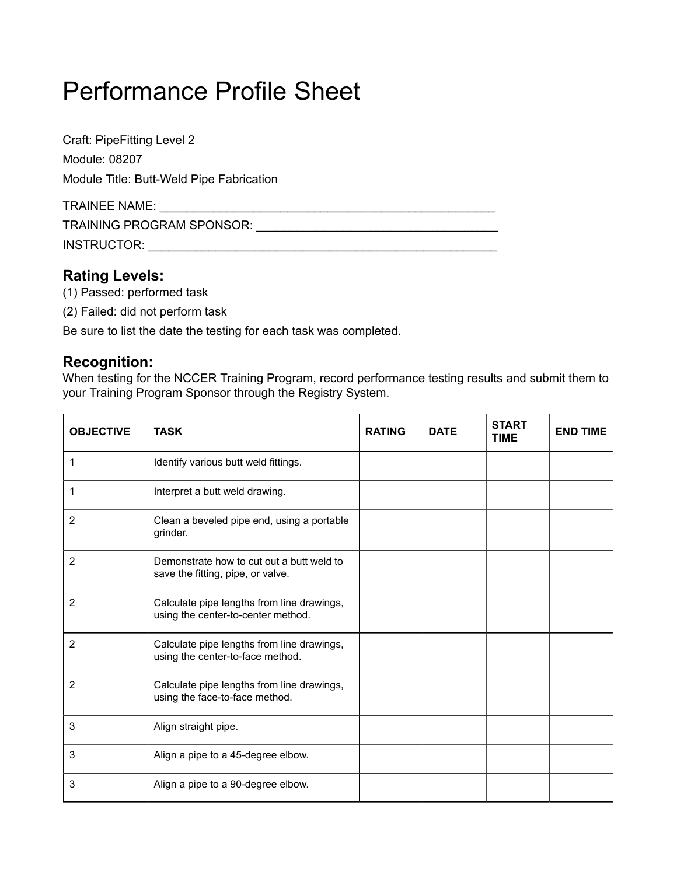Craft: PipeFitting Level 2 Module: 08207 Module Title: Butt-Weld Pipe Fabrication TRAINEE NAME: \_\_\_\_\_\_\_\_\_\_\_\_\_\_\_\_\_\_\_\_\_\_\_\_\_\_\_\_\_\_\_\_\_\_\_\_\_\_\_\_\_\_\_\_\_\_\_\_\_\_

TRAINING PROGRAM SPONSOR: \_\_\_\_\_\_\_\_\_\_\_\_\_\_\_\_\_\_\_\_\_\_\_\_\_\_\_\_\_\_\_\_\_\_\_\_

INSTRUCTOR: \_\_\_\_\_\_\_\_\_\_\_\_\_\_\_\_\_\_\_\_\_\_\_\_\_\_\_\_\_\_\_\_\_\_\_\_\_\_\_\_\_\_\_\_\_\_\_\_\_\_\_\_

# **Rating Levels:**

- (1) Passed: performed task
- (2) Failed: did not perform task

Be sure to list the date the testing for each task was completed.

### **Recognition:**

| <b>OBJECTIVE</b> | <b>TASK</b>                                                                      | <b>RATING</b> | <b>DATE</b> | <b>START</b><br><b>TIME</b> | <b>END TIME</b> |
|------------------|----------------------------------------------------------------------------------|---------------|-------------|-----------------------------|-----------------|
| 1                | Identify various butt weld fittings.                                             |               |             |                             |                 |
| 1                | Interpret a butt weld drawing.                                                   |               |             |                             |                 |
| 2                | Clean a beveled pipe end, using a portable<br>grinder.                           |               |             |                             |                 |
| 2                | Demonstrate how to cut out a butt weld to<br>save the fitting, pipe, or valve.   |               |             |                             |                 |
| $\overline{2}$   | Calculate pipe lengths from line drawings,<br>using the center-to-center method. |               |             |                             |                 |
| $\overline{2}$   | Calculate pipe lengths from line drawings,<br>using the center-to-face method.   |               |             |                             |                 |
| $\overline{2}$   | Calculate pipe lengths from line drawings,<br>using the face-to-face method.     |               |             |                             |                 |
| 3                | Align straight pipe.                                                             |               |             |                             |                 |
| 3                | Align a pipe to a 45-degree elbow.                                               |               |             |                             |                 |
| 3                | Align a pipe to a 90-degree elbow.                                               |               |             |                             |                 |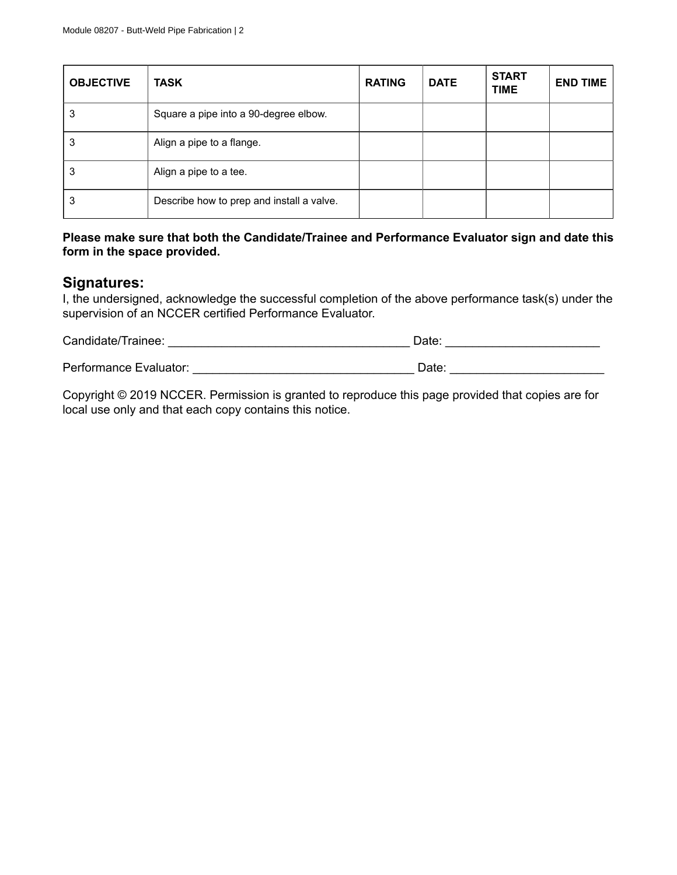| <b>OBJECTIVE</b> | <b>TASK</b>                               | <b>RATING</b> | <b>DATE</b> | <b>START</b><br><b>TIME</b> | <b>END TIME</b> |
|------------------|-------------------------------------------|---------------|-------------|-----------------------------|-----------------|
| 3                | Square a pipe into a 90-degree elbow.     |               |             |                             |                 |
| 3                | Align a pipe to a flange.                 |               |             |                             |                 |
| 3                | Align a pipe to a tee.                    |               |             |                             |                 |
| 3                | Describe how to prep and install a valve. |               |             |                             |                 |

### **Signatures:**

I, the undersigned, acknowledge the successful completion of the above performance task(s) under the supervision of an NCCER certified Performance Evaluator.

| Candidate/Trainee:     |  | Date: |
|------------------------|--|-------|
| Performance Evaluator: |  | Date: |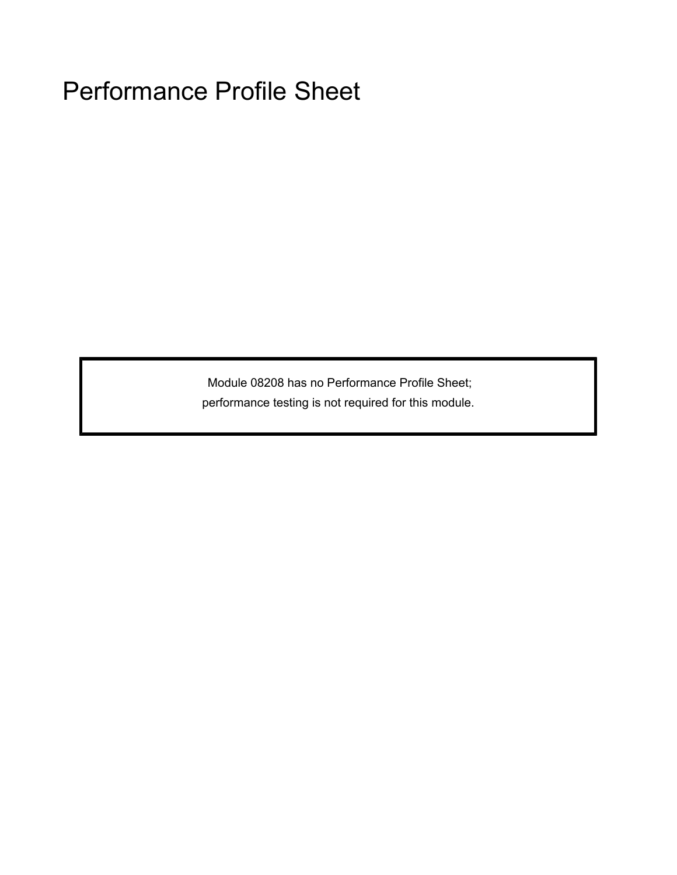Module 08208 has no Performance Profile Sheet; performance testing is not required for this module.